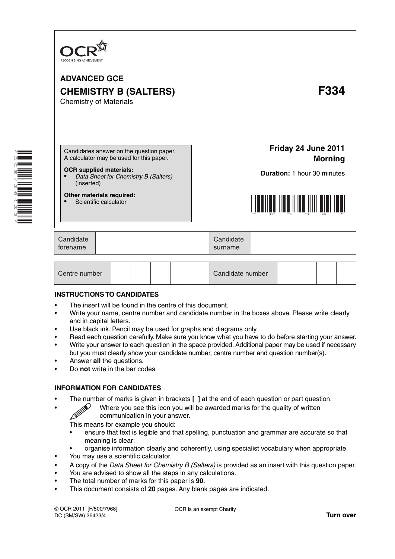

**Other materials required:**

• Scientific calculator

**Friday 24 June 2011 Morning**

**Duration:** 1 hour 30 minutes



| Candidate<br>forename | Candidate<br>surname |  |
|-----------------------|----------------------|--|
|-----------------------|----------------------|--|

| Centre number |  |  |  |  |  | Candidate number |  |  |  |  |  |
|---------------|--|--|--|--|--|------------------|--|--|--|--|--|
|---------------|--|--|--|--|--|------------------|--|--|--|--|--|

#### **INSTRUCTIONS TO CANDIDATES**

- The insert will be found in the centre of this document.
- Write your name, centre number and candidate number in the boxes above. Please write clearly and in capital letters.
- Use black ink. Pencil may be used for graphs and diagrams only.
- Read each question carefully. Make sure you know what you have to do before starting your answer.
- Write your answer to each question in the space provided. Additional paper may be used if necessary but you must clearly show your candidate number, centre number and question number(s).
- Answer **all** the questions.
- Do **not** write in the bar codes.

### **INFORMATION FOR CANDIDATES**

- - The number of marks is given in brackets **[ ]** at the end of each question or part question.<br>Where you see this icon you will be awarded marks for the quality of written communication in your answer • Where you see this icon you will be awarded marks for the quality of written communication in your answer.

This means for example you should:

- ensure that text is legible and that spelling, punctuation and grammar are accurate so that meaning is clear;
- organise information clearly and coherently, using specialist vocabulary when appropriate.
- You may use a scientific calculator.
- A copy of the *Data Sheet for Chemistry B (Salters)* is provided as an insert with this question paper.
- You are advised to show all the steps in any calculations.
- The total number of marks for this paper is **90**.
- This document consists of **20** pages. Any blank pages are indicated.

OCR is an exempt Charity

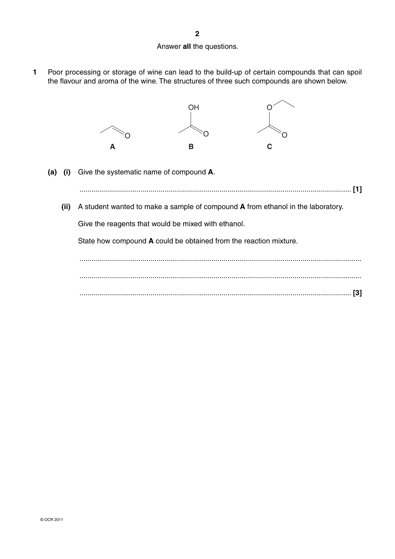### Answer **all** the questions.

**1** Poor processing or storage of wine can lead to the build-up of certain compounds that can spoil the flavour and aroma of the wine. The structures of three such compounds are shown below.



 **(a) (i)** Give the systematic name of compound **A**.

...................................................................................................................................... **[1]**

 **(ii)** A student wanted to make a sample of compound **A** from ethanol in the laboratory.

Give the reagents that would be mixed with ethanol.

State how compound **A** could be obtained from the reaction mixture.

 ........................................................................................................................................... ........................................................................................................................................... ...................................................................................................................................... **[3]**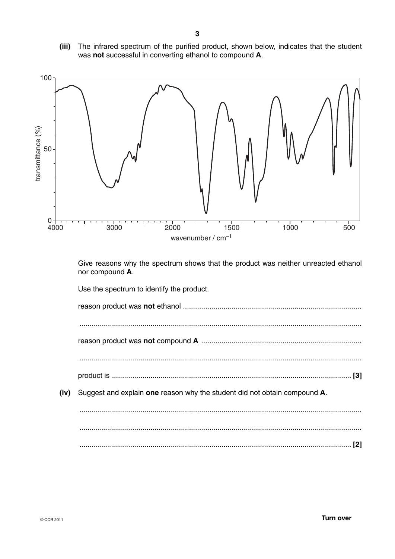**(iii)** The infrared spectrum of the purified product, shown below, indicates that the student was **not** successful in converting ethanol to compound **A**.



Give reasons why the spectrum shows that the product was neither unreacted ethanol nor compound **A**.

Use the spectrum to identify the product.

reason product was **not** ethanol ........................................................................................ ........................................................................................................................................... reason product was **not** compound **A** ............................................................................... ........................................................................................................................................... product is ...................................................................................................................... **[3] (iv)** Suggest and explain **one** reason why the student did not obtain compound **A**. ........................................................................................................................................... ........................................................................................................................................... ...................................................................................................................................... **[2]**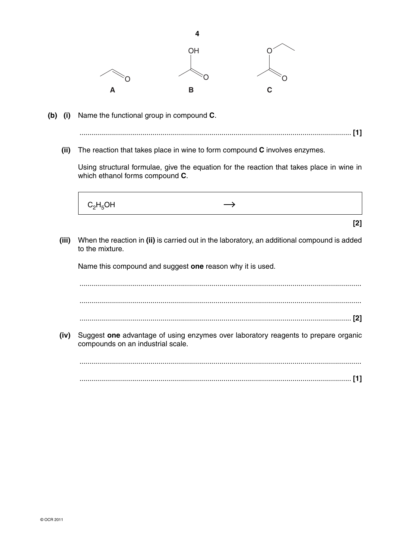

- **(b) (i)** Name the functional group in compound **C**.
	- ...................................................................................................................................... **[1]**
	- **(ii)** The reaction that takes place in wine to form compound **C** involves enzymes.

Using structural formulae, give the equation for the reaction that takes place in wine in which ethanol forms compound **C**.



 **(iii)** When the reaction in **(ii)** is carried out in the laboratory, an additional compound is added to the mixture.

Name this compound and suggest **one** reason why it is used.

 ........................................................................................................................................... ........................................................................................................................................... ...................................................................................................................................... **[2]**

 **(iv)** Suggest **one** advantage of using enzymes over laboratory reagents to prepare organic compounds on an industrial scale.

 ........................................................................................................................................... ...................................................................................................................................... **[1]**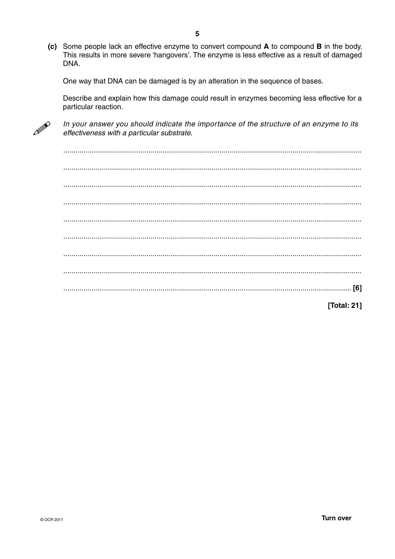(c) Some people lack an effective enzyme to convert compound A to compound B in the body. This results in more severe 'hangovers'. The enzyme is less effective as a result of damaged DNA.

One way that DNA can be damaged is by an alteration in the sequence of bases.

Describe and explain how this damage could result in enzymes becoming less effective for a particular reaction.



In your answer you should indicate the importance of the structure of an enzyme to its effectiveness with a particular substrate.

[Total: 21]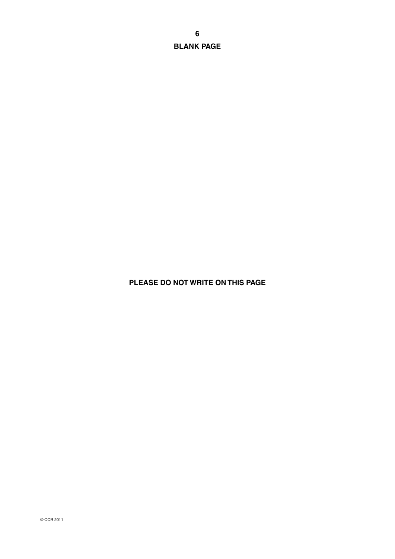**BLANK PAGE**

# **PLEASE DO NOT WRITE ON THIS PAGE**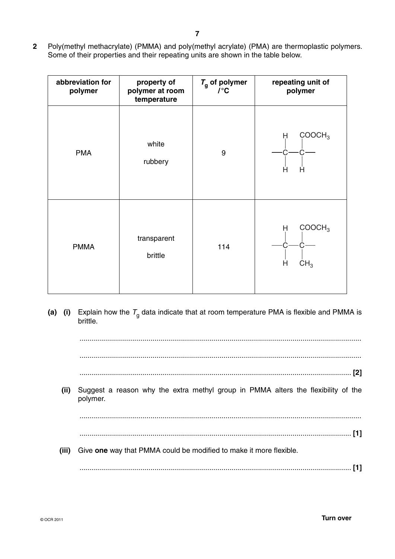**2** Poly(methyl methacrylate) (PMMA) and poly(methyl acrylate) (PMA) are thermoplastic polymers. Some of their properties and their repeating units are shown in the table below.

| abbreviation for<br>polymer | property of<br>polymer at room<br>temperature | $T_{\rm g}$ of polymer<br>$\mathcal{L}^{\circ}$ C | repeating unit of<br>polymer                    |  |  |
|-----------------------------|-----------------------------------------------|---------------------------------------------------|-------------------------------------------------|--|--|
| <b>PMA</b>                  | white<br>rubbery                              | 9                                                 | COOCH <sub>3</sub><br>H<br>Ĥ<br>Η               |  |  |
| <b>PMMA</b>                 | transparent<br>brittle                        | 114                                               | COOCH <sub>3</sub><br>Н<br>H<br>CH <sub>3</sub> |  |  |

**(a)** (i) Explain how the  $T_q$  data indicate that at room temperature PMA is flexible and PMMA is brittle.

...........................................................................................................................................

...........................................................................................................................................

...................................................................................................................................... **[2]**

 **(ii)** Suggest a reason why the extra methyl group in PMMA alters the flexibility of the polymer.

...........................................................................................................................................

- ...................................................................................................................................... **[1]**
- **(iii)** Give **one** way that PMMA could be modified to make it more flexible.

...................................................................................................................................... **[1]**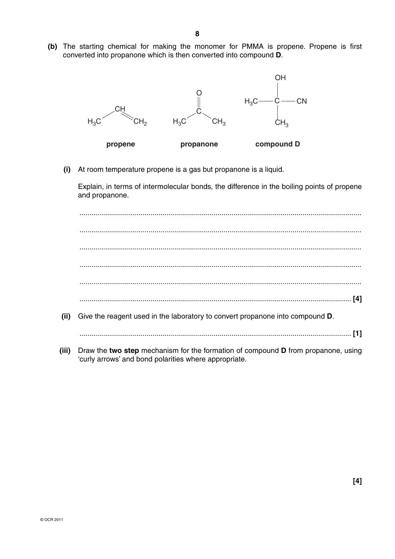**(b)** The starting chemical for making the monomer for PMMA is propene. Propene is first converted into propanone which is then converted into compound **D**.



 **(i)** At room temperature propene is a gas but propanone is a liquid.

Explain, in terms of intermolecular bonds, the difference in the boiling points of propene and propanone.

 ........................................................................................................................................... ........................................................................................................................................... ........................................................................................................................................... ........................................................................................................................................... ........................................................................................................................................... ...................................................................................................................................... **[4] (ii)** Give the reagent used in the laboratory to convert propanone into compound **D**. ...................................................................................................................................... **[1]**

 **(iii)** Draw the **two step** mechanism for the formation of compound **D** from propanone, using 'curly arrows' and bond polarities where appropriate.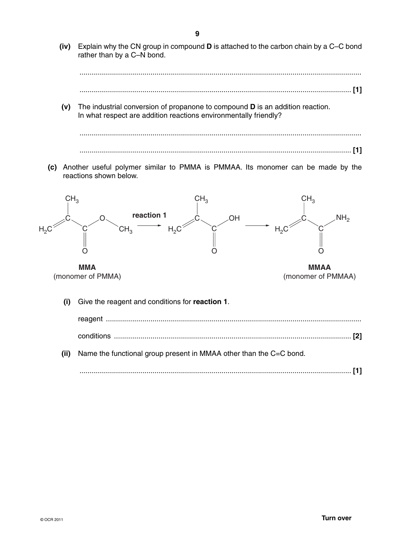**(iv)** Explain why the CN group in compound **D** is attached to the carbon chain by a C–C bond rather than by a C–N bond.

...........................................................................................................................................

...................................................................................................................................... **[1]**

 **(v)** The industrial conversion of propanone to compound **D** is an addition reaction. In what respect are addition reactions environmentally friendly?



 **(c)** Another useful polymer similar to PMMA is PMMAA. Its monomer can be made by the reactions shown below.

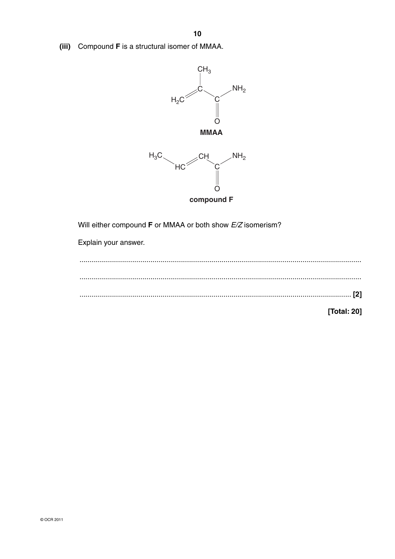(iii) Compound F is a structural isomer of MMAA.





Will either compound F or MMAA or both show E/Z isomerism?

Explain your answer.

[Total: 20]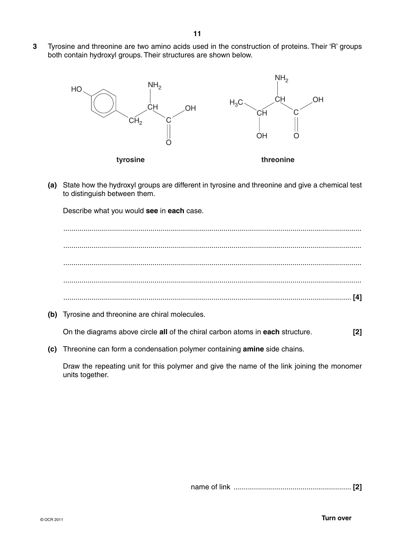**3** Tyrosine and threonine are two amino acids used in the construction of proteins. Their 'R' groups both contain hydroxyl groups. Their structures are shown below.



 **(a)** State how the hydroxyl groups are different in tyrosine and threonine and give a chemical test to distinguish between them.

Describe what you would **see** in **each** case.

 ................................................................................................................................................... ................................................................................................................................................... ................................................................................................................................................... ................................................................................................................................................... .............................................................................................................................................. **[4]**

 **(b)** Tyrosine and threonine are chiral molecules.

On the diagrams above circle **all** of the chiral carbon atoms in **each** structure. **[2]**

 **(c)** Threonine can form a condensation polymer containing **amine** side chains.

Draw the repeating unit for this polymer and give the name of the link joining the monomer units together.

name of link .......................................................... **[2]**

© OCR 2011 **Turn over**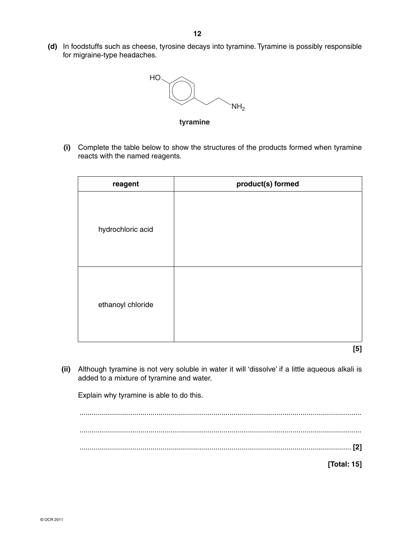**(d)** In foodstuffs such as cheese, tyrosine decays into tyramine. Tyramine is possibly responsible for migraine-type headaches.



**tyramine**

 **(i)** Complete the table below to show the structures of the products formed when tyramine reacts with the named reagents.

| reagent           | product(s) formed |
|-------------------|-------------------|
| hydrochloric acid |                   |
| ethanoyl chloride |                   |

- **[5]**
- **(ii)** Although tyramine is not very soluble in water it will 'dissolve' if a little aqueous alkali is added to a mixture of tyramine and water.

Explain why tyramine is able to do this.

 ........................................................................................................................................... ........................................................................................................................................... ...................................................................................................................................... **[2]**

**[Total: 15]**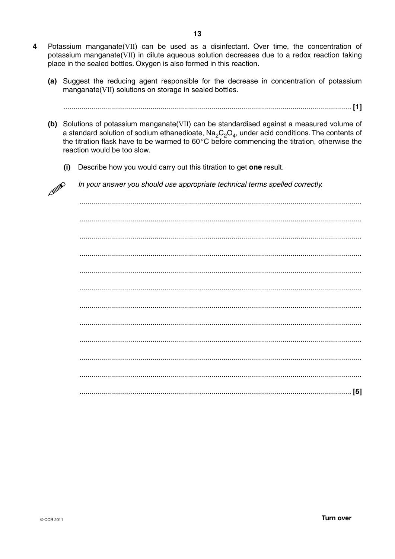- $\overline{\mathbf{4}}$ Potassium manganate(VII) can be used as a disinfectant. Over time, the concentration of potassium manganate(VII) in dilute aqueous solution decreases due to a redox reaction taking place in the sealed bottles. Oxygen is also formed in this reaction.
	- (a) Suggest the reducing agent responsible for the decrease in concentration of potassium manganate(VII) solutions on storage in sealed bottles.

- (b) Solutions of potassium manganate (VII) can be standardised against a measured volume of a standard solution of sodium ethanedioate,  $Na_2C_2O_4$ , under acid conditions. The contents of the titration flask have to be warmed to 60°C before commencing the titration, otherwise the reaction would be too slow.
	- Describe how you would carry out this titration to get one result.  $(i)$

In your answer you should use appropriate technical terms spelled correctly.

Ø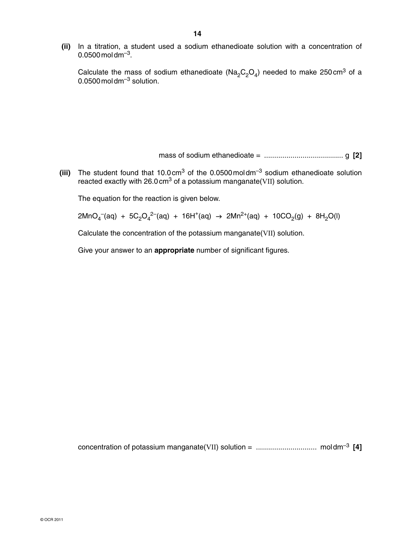**(ii)** In a titration, a student used a sodium ethanedioate solution with a concentration of  $0.0500$  mol dm<sup>-3</sup>.

Calculate the mass of sodium ethanedioate ( $Na_2C_2O_4$ ) needed to make 250 cm<sup>3</sup> of a 0.0500 mol dm $^{-3}$  solution.

mass of sodium ethanedioate = ....................................... g **[2]**

**(iii)** The student found that 10.0 cm<sup>3</sup> of the 0.0500 moldm<sup>-3</sup> sodium ethanedioate solution reacted exactly with 26.0 cm<sup>3</sup> of a potassium manganate(VII) solution.

The equation for the reaction is given below.

 $2\text{MnO}_4^-(\text{aq}) + 5\text{C}_2\text{O}_4^{2-}(\text{aq}) + 16\text{H}^+(\text{aq}) → 2\text{Mn}^{2+}(\text{aq}) + 10\text{CO}_2(\text{g}) + 8\text{H}_2\text{O}(\text{l})$ 

Calculate the concentration of the potassium manganate(VII) solution.

Give your answer to an **appropriate** number of significant figures.

concentration of potassium manganate(VII) solution = .............................. mol dm–3 **[4]**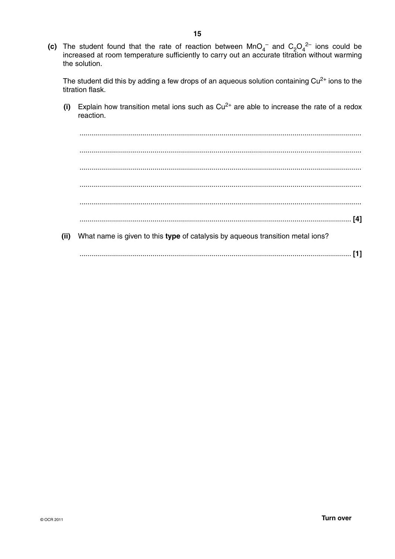(c) The student found that the rate of reaction between  $MnO_4^-$  and  $C_2O_4^{2-}$  ions could be increased at room temperature sufficiently to carry out an accurate titration without warming the solution.

The student did this by adding a few drops of an aqueous solution containing  $Cu<sup>2+</sup>$  ions to the titration flask.

(i) Explain how transition metal ions such as  $Cu^{2+}$  are able to increase the rate of a redox reaction.

(ii) What name is given to this type of catalysis by aqueous transition metal ions?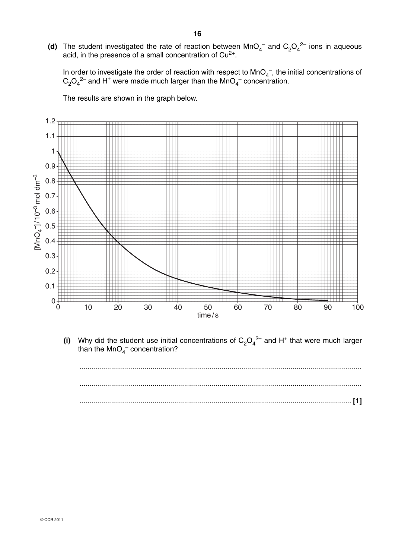(d) The student investigated the rate of reaction between  $MnO<sub>4</sub><sup>-</sup>$  and  $C<sub>2</sub>O<sub>4</sub><sup>2-</sup>$  ions in aqueous acid, in the presence of a small concentration of  $Cu<sup>2+</sup>$ .

In order to investigate the order of reaction with respect to  $MnO<sub>4</sub>$ , the initial concentrations of  $C_2O_4^2$  and H<sup>+</sup> were made much larger than the MnO<sub>4</sub><sup>-</sup> concentration.

The results are shown in the graph below.



(i) Why did the student use initial concentrations of  $C_2O_4^2$  and H<sup>+</sup> that were much larger than the MnO<sub>4</sub><sup>-</sup> concentration?

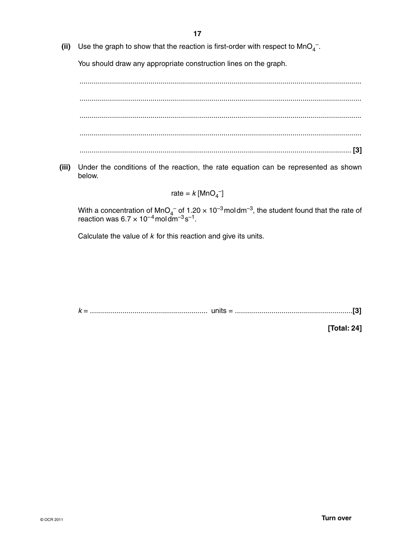(ii) Use the graph to show that the reaction is first-order with respect to MnO<sub>4</sub><sup>-</sup>.

You should draw any appropriate construction lines on the graph.

 ........................................................................................................................................... ........................................................................................................................................... ........................................................................................................................................... ........................................................................................................................................... ...................................................................................................................................... **[3]**

 **(iii)** Under the conditions of the reaction, the rate equation can be represented as shown below.

# rate =  $k$  [MnO<sub>4</sub><sup>-</sup>]

With a concentration of MnO<sub>4</sub><sup>-</sup> of 1.20  $\times$  10<sup>-3</sup> moldm<sup>-3</sup>, the student found that the rate of reaction was  $6.7 \times 10^{-4}$  moldm<sup>-3</sup>s<sup>-1</sup>.

Calculate the value of *k* for this reaction and give its units.

*k* = .......................................................... units = ..........................................................**[3]**

**[Total: 24]**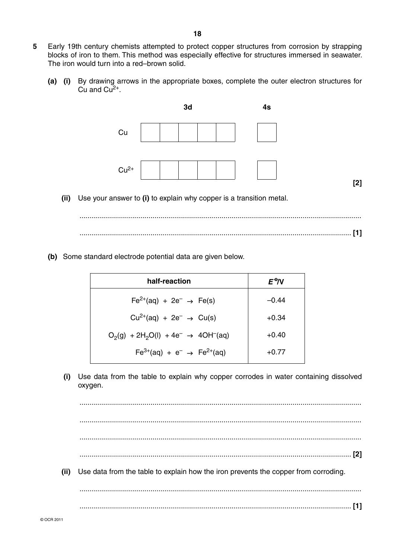- **5** Early 19th century chemists attempted to protect copper structures from corrosion by strapping blocks of iron to them. This method was especially effective for structures immersed in seawater. The iron would turn into a red–brown solid.
	- **(a) (i)** By drawing arrows in the appropriate boxes, complete the outer electron structures for Cu and  $Cu<sup>2+</sup>$ .



 **(ii)** Use your answer to **(i)** to explain why copper is a transition metal.

 ........................................................................................................................................... ...................................................................................................................................... **[1]**

 **(b)** Some standard electrode potential data are given below.

| half-reaction                                      | $E^{\Theta}$ N |
|----------------------------------------------------|----------------|
| $Fe^{2+}(aq) + 2e^{-} \rightarrow Fe(s)$           | $-0.44$        |
| $Cu^{2+}(aq) + 2e^{-} \rightarrow Cu(s)$           | $+0.34$        |
| $O_2(g) + 2H_2O(l) + 4e^- \rightarrow 4OH^{-}(aq)$ | $+0.40$        |
| $Fe^{3+}(aq) + e^{-} \rightarrow Fe^{2+}(aq)$      | $+0.77$        |

 **(i)** Use data from the table to explain why copper corrodes in water containing dissolved oxygen.

 ........................................................................................................................................... ........................................................................................................................................... ........................................................................................................................................... ...................................................................................................................................... **[2] (ii)** Use data from the table to explain how the iron prevents the copper from corroding. ........................................................................................................................................... ...................................................................................................................................... **[1]**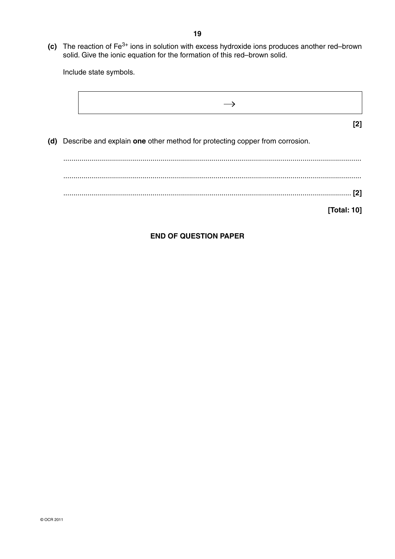**(c)** The reaction of Fe<sup>3+</sup> ions in solution with excess hydroxide ions produces another red–brown solid. Give the ionic equation for the formation of this red–brown solid.

Include state symbols.

$$
\rightarrow
$$
\n
$$
(d) Describe and explain one other method for protecting copper from corrosion.
$$
\n
$$
[2]
$$
\n
$$
[3]
$$
\n
$$
[7]
$$
\n
$$
[7]
$$
\n
$$
[7]
$$
\n
$$
[7]
$$
\n
$$
[7]
$$

## **END OF QUESTION PAPER**